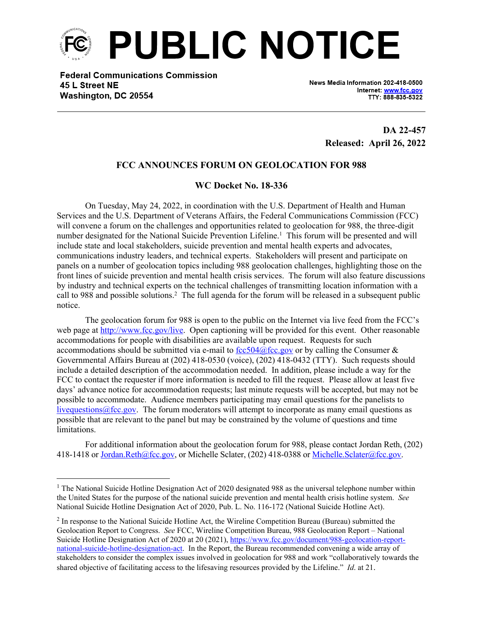

**Federal Communications Commission** 45 L Street NE Washington, DC 20554

News Media Information 202-418-0500 Internet: www.fcc.gov TTY: 888-835-5322

> **DA 22-457 Released: April 26, 2022**

## **FCC ANNOUNCES FORUM ON GEOLOCATION FOR 988**

## **WC Docket No. 18-336**

On Tuesday, May 24, 2022, in coordination with the U.S. Department of Health and Human Services and the U.S. Department of Veterans Affairs, the Federal Communications Commission (FCC) will convene a forum on the challenges and opportunities related to geolocation for 988, the three-digit number designated for the National Suicide Prevention Lifeline.<sup>1</sup> This forum will be presented and will include state and local stakeholders, suicide prevention and mental health experts and advocates, communications industry leaders, and technical experts. Stakeholders will present and participate on panels on a number of geolocation topics including 988 geolocation challenges, highlighting those on the front lines of suicide prevention and mental health crisis services. The forum will also feature discussions by industry and technical experts on the technical challenges of transmitting location information with a call to 988 and possible solutions.<sup>2</sup> The full agenda for the forum will be released in a subsequent public notice.

The geolocation forum for 988 is open to the public on the Internet via live feed from the FCC's web page at<http://www.fcc.gov/live>. Open captioning will be provided for this event. Other reasonable accommodations for people with disabilities are available upon request. Requests for such accommodations should be submitted via e-mail to  $\frac{fcc504@fcc.gov}{dc}$  or by calling the Consumer & Governmental Affairs Bureau at (202) 418-0530 (voice), (202) 418-0432 (TTY). Such requests should include a detailed description of the accommodation needed. In addition, please include a way for the FCC to contact the requester if more information is needed to fill the request. Please allow at least five days' advance notice for accommodation requests; last minute requests will be accepted, but may not be possible to accommodate. Audience members participating may email questions for the panelists to livequestions  $@$  fcc.gov. The forum moderators will attempt to incorporate as many email questions as possible that are relevant to the panel but may be constrained by the volume of questions and time limitations.

For additional information about the geolocation forum for 988, please contact Jordan Reth, (202) 418-1418 or [Jordan.Reth@fcc.gov](mailto:Jordan.Reth@fcc.gov), or Michelle Sclater, (202) 418-0388 or [Michelle.Sclater@fcc.gov.](mailto:Michelle.Sclater@fcc.gov)

<sup>&</sup>lt;sup>1</sup> The National Suicide Hotline Designation Act of 2020 designated 988 as the universal telephone number within the United States for the purpose of the national suicide prevention and mental health crisis hotline system. *See* National Suicide Hotline Designation Act of 2020, Pub. L. No. 116-172 (National Suicide Hotline Act).

<sup>&</sup>lt;sup>2</sup> In response to the National Suicide Hotline Act, the Wireline Competition Bureau (Bureau) submitted the Geolocation Report to Congress. *See* FCC, Wireline Competition Bureau, 988 Geolocation Report – National Suicide Hotline Designation Act of 2020 at 20 (2021), [https://www.fcc.gov/document/988-geolocation-report](https://www.fcc.gov/document/988-geolocation-report-national-suicide-hotline-designation-act)[national-suicide-hotline-designation-act](https://www.fcc.gov/document/988-geolocation-report-national-suicide-hotline-designation-act). In the Report, the Bureau recommended convening a wide array of stakeholders to consider the complex issues involved in geolocation for 988 and work "collaboratively towards the shared objective of facilitating access to the lifesaving resources provided by the Lifeline." *Id*. at 21.